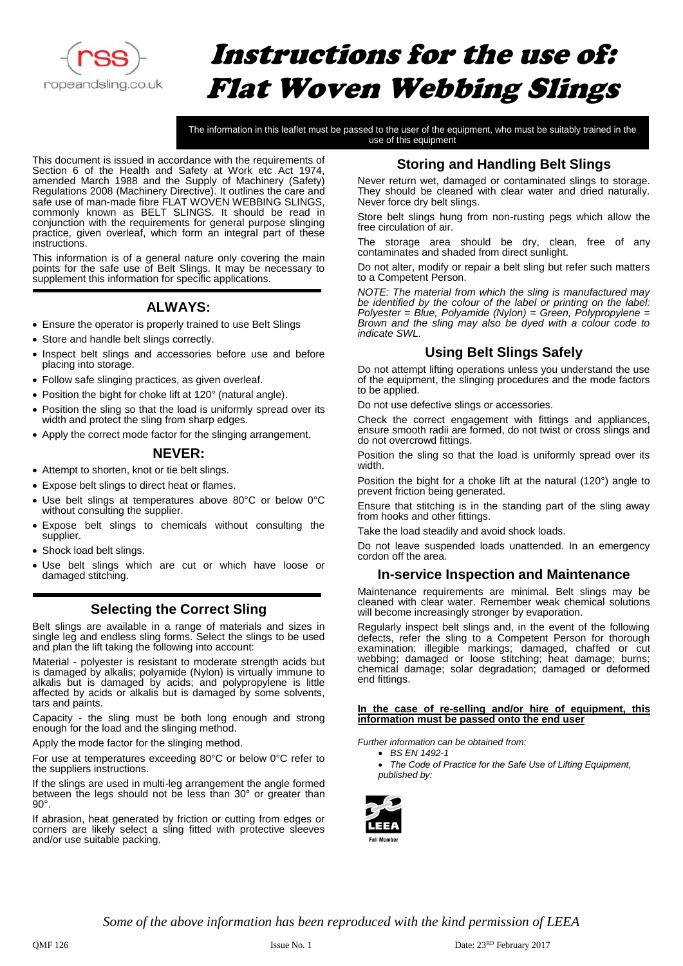

# Instructions for the use of: Flat Woven Webbing Slings

The information in this leaflet must be passed to the user of the equipment, who must be suitably trained in the use of this equipment

This document is issued in accordance with the requirements of Section 6 of the Health and Safety at Work etc Act 1974, amended March 1988 and the Supply of Machinery (Safety) Regulations 2008 (Machinery Directive). It outlines the care and safe use of man-made fibre FLAT WOVEN WEBBING SLINGS, commonly known as BELT SLINGS. It should be read in conjunction with the requirements for general purpose slinging practice, given overleaf, which form an integral part of these instructions.

This information is of a general nature only covering the main points for the safe use of Belt Slings. It may be necessary to supplement this information for specific applications.

## **ALWAYS:**

- Ensure the operator is properly trained to use Belt Slings
- Store and handle belt slings correctly.
- Inspect belt slings and accessories before use and before placing into storage.
- Follow safe slinging practices, as given overleaf.
- Position the bight for choke lift at 120° (natural angle).
- Position the sling so that the load is uniformly spread over its width and protect the sling from sharp edges.
- Apply the correct mode factor for the slinging arrangement.

#### **NEVER:**

- Attempt to shorten, knot or tie belt slings.
- Expose belt slings to direct heat or flames.
- Use belt slings at temperatures above 80°C or below 0°C without consulting the supplier.
- Expose belt slings to chemicals without consulting the supplier.
- Shock load belt slings.
- Use belt slings which are cut or which have loose or damaged stitching.

#### **Selecting the Correct Sling**

Belt slings are available in a range of materials and sizes in single leg and endless sling forms. Select the slings to be used and plan the lift taking the following into account:

Material - polyester is resistant to moderate strength acids but is damaged by alkalis; polyamide (Nylon) is virtually immune to alkalis but is damaged by acids; and polypropylene is little affected by acids or alkalis but is damaged by some solvents, tars and paints.

Capacity - the sling must be both long enough and strong enough for the load and the slinging method.

Apply the mode factor for the slinging method.

For use at temperatures exceeding 80°C or below 0°C refer to the suppliers instructions.

If the slings are used in multi-leg arrangement the angle formed between the legs should not be less than 30° or greater than 90°.

If abrasion, heat generated by friction or cutting from edges or corners are likely select a sling fitted with protective sleeves and/or use suitable packing.

## **Storing and Handling Belt Slings**

Never return wet, damaged or contaminated slings to storage. They should be cleaned with clear water and dried naturally. Never force dry belt slings.

Store belt slings hung from non-rusting pegs which allow the free circulation of air.

The storage area should be dry, clean, free of any contaminates and shaded from direct sunlight.

Do not alter, modify or repair a belt sling but refer such matters to a Competent Person.

*NOTE: The material from which the sling is manufactured may be identified by the colour of the label or printing on the label: Polyester = Blue, Polyamide (Nylon) = Green, Polypropylene = Brown and the sling may also be dyed with a colour code to indicate SWL.*

#### **Using Belt Slings Safely**

Do not attempt lifting operations unless you understand the use of the equipment, the slinging procedures and the mode factors to be applied.

Do not use defective slings or accessories.

Check the correct engagement with fittings and appliances, ensure smooth radii are formed, do not twist or cross slings and do not overcrowd fittings.

Position the sling so that the load is uniformly spread over its width.

Position the bight for a choke lift at the natural (120°) angle to prevent friction being generated.

Ensure that stitching is in the standing part of the sling away from hooks and other fittings.

Take the load steadily and avoid shock loads.

Do not leave suspended loads unattended. In an emergency cordon off the area.

#### **In-service Inspection and Maintenance**

Maintenance requirements are minimal. Belt slings may be cleaned with clear water. Remember weak chemical solutions will become increasingly stronger by evaporation.

Regularly inspect belt slings and, in the event of the following defects, refer the sling to a Competent Person for thorough examination: illegible markings; damaged, chaffed or cut webbing; damaged or loose stitching; heat damage; burns; chemical damage; solar degradation; damaged or deformed end fittings.

**In the case of re-selling and/or hire of equipment, this information must be passed onto the end user**

*Further information can be obtained from:*

- *BS EN 1492-1*
- *The Code of Practice for the Safe Use of Lifting Equipment, published by:*



*Some of the above information has been reproduced with the kind permission of LEEA*